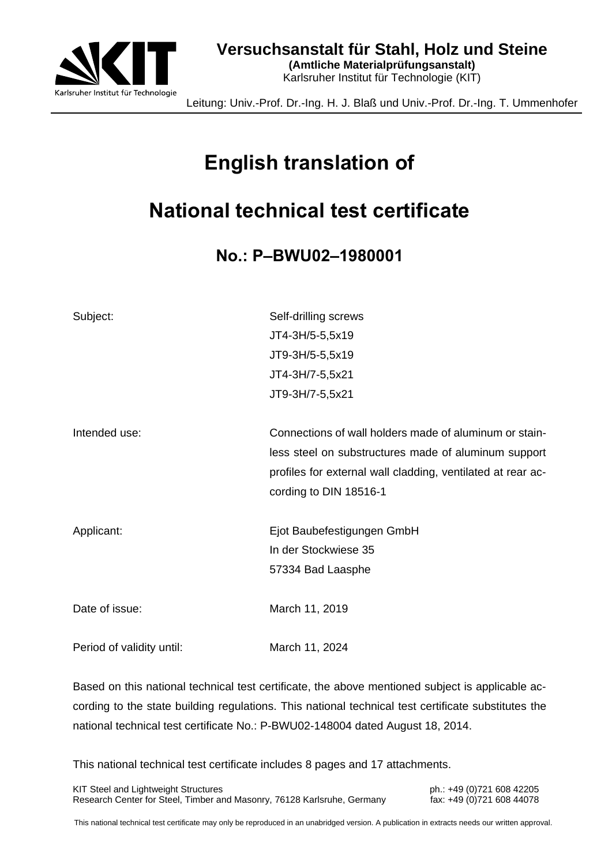

**(Amtliche Materialprüfungsanstalt)** Karlsruher Institut für Technologie (KIT)

Leitung: Univ.-Prof. Dr.-Ing. H. J. Blaß und Univ.-Prof. Dr.-Ing. T. Ummenhofer

# **English translation of**

# **National technical test certificate**

**No.: P–BWU02–1980001**

| Subject:                  | Self-drilling screws                                        |
|---------------------------|-------------------------------------------------------------|
|                           | JT4-3H/5-5,5x19                                             |
|                           | JT9-3H/5-5,5x19                                             |
|                           | JT4-3H/7-5,5x21                                             |
|                           | JT9-3H/7-5,5x21                                             |
| Intended use:             | Connections of wall holders made of aluminum or stain-      |
|                           | less steel on substructures made of aluminum support        |
|                           | profiles for external wall cladding, ventilated at rear ac- |
|                           | cording to DIN 18516-1                                      |
| Applicant:                | Ejot Baubefestigungen GmbH                                  |
|                           | In der Stockwiese 35                                        |
|                           | 57334 Bad Laasphe                                           |
| Date of issue:            | March 11, 2019                                              |
| Period of validity until: | March 11, 2024                                              |

Based on this national technical test certificate, the above mentioned subject is applicable according to the state building regulations. This national technical test certificate substitutes the national technical test certificate No.: P-BWU02-148004 dated August 18, 2014.

This national technical test certificate includes 8 pages and 17 attachments.

KIT Steel and Lightweight Structures **ph.: +49 (0)721 608 42205** Research Center for Steel, Timber and Masonry, 76128 Karlsruhe, Germany fax: +49 (0)721 608 44078

This national technical test certificate may only be reproduced in an unabridged version. A publication in extracts needs our written approval.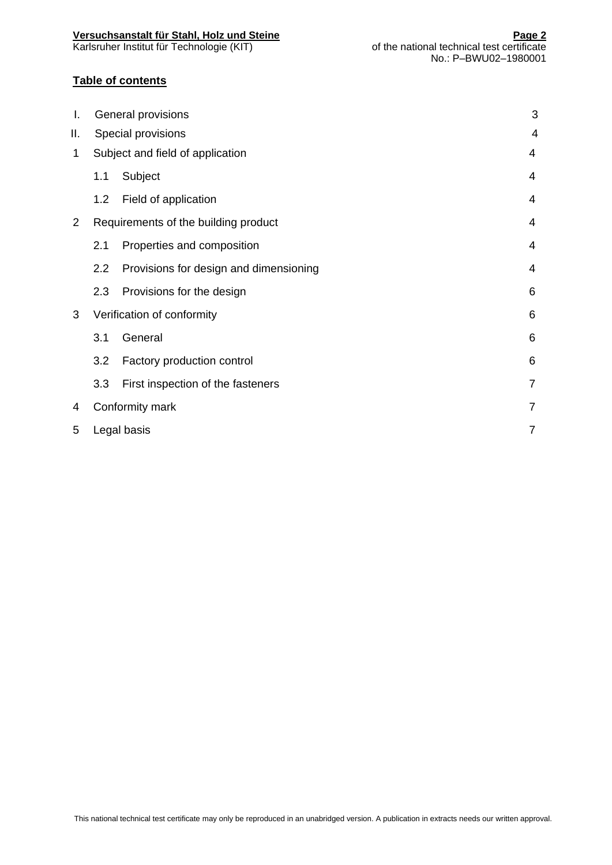#### **Versuchsanstalt für Stahl, Holz und Steine Page 2**

#### **Table of contents**

| Ι.             |     | General provisions                     | 3              |
|----------------|-----|----------------------------------------|----------------|
| Ш.             |     | Special provisions                     | $\overline{4}$ |
| 1              |     | Subject and field of application       | $\overline{4}$ |
|                | 1.1 | Subject                                | 4              |
|                | 1.2 | Field of application                   | 4              |
| $\overline{2}$ |     | Requirements of the building product   | $\overline{4}$ |
|                | 2.1 | Properties and composition             | 4              |
|                | 2.2 | Provisions for design and dimensioning | 4              |
|                | 2.3 | Provisions for the design              | 6              |
| 3              |     | Verification of conformity             | 6              |
|                | 3.1 | General                                | 6              |
|                | 3.2 | Factory production control             | 6              |
|                | 3.3 | First inspection of the fasteners      | $\overline{7}$ |
| 4              |     | Conformity mark                        | $\overline{7}$ |
| 5              |     | Legal basis                            | $\overline{7}$ |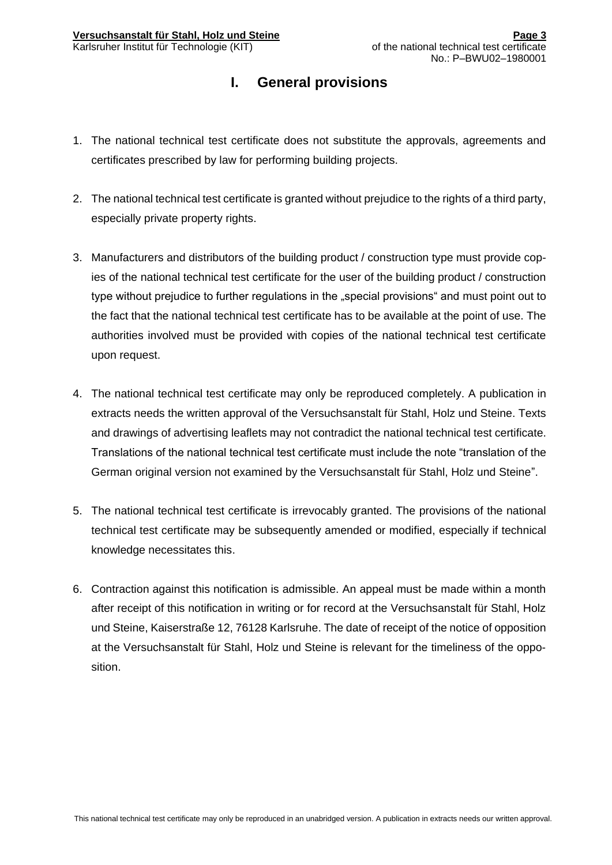## **I. General provisions**

- 1. The national technical test certificate does not substitute the approvals, agreements and certificates prescribed by law for performing building projects.
- 2. The national technical test certificate is granted without prejudice to the rights of a third party, especially private property rights.
- 3. Manufacturers and distributors of the building product / construction type must provide copies of the national technical test certificate for the user of the building product / construction type without prejudice to further regulations in the "special provisions" and must point out to the fact that the national technical test certificate has to be available at the point of use. The authorities involved must be provided with copies of the national technical test certificate upon request.
- 4. The national technical test certificate may only be reproduced completely. A publication in extracts needs the written approval of the Versuchsanstalt für Stahl, Holz und Steine. Texts and drawings of advertising leaflets may not contradict the national technical test certificate. Translations of the national technical test certificate must include the note "translation of the German original version not examined by the Versuchsanstalt für Stahl, Holz und Steine".
- 5. The national technical test certificate is irrevocably granted. The provisions of the national technical test certificate may be subsequently amended or modified, especially if technical knowledge necessitates this.
- 6. Contraction against this notification is admissible. An appeal must be made within a month after receipt of this notification in writing or for record at the Versuchsanstalt für Stahl, Holz und Steine, Kaiserstraße 12, 76128 Karlsruhe. The date of receipt of the notice of opposition at the Versuchsanstalt für Stahl, Holz und Steine is relevant for the timeliness of the opposition.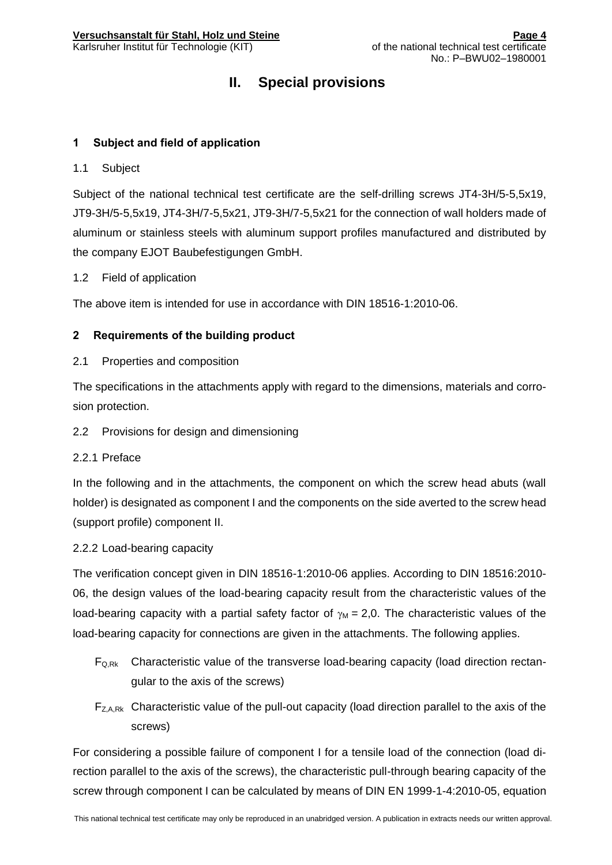## **II. Special provisions**

#### <span id="page-3-0"></span>**1 Subject and field of application**

#### <span id="page-3-1"></span>1.1 Subject

Subject of the national technical test certificate are the self-drilling screws JT4-3H/5-5,5x19, JT9-3H/5-5,5x19, JT4-3H/7-5,5x21, JT9-3H/7-5,5x21 for the connection of wall holders made of aluminum or stainless steels with aluminum support profiles manufactured and distributed by the company EJOT Baubefestigungen GmbH.

#### <span id="page-3-2"></span>1.2 Field of application

The above item is intended for use in accordance with DIN 18516-1:2010-06.

#### <span id="page-3-3"></span>**2 Requirements of the building product**

<span id="page-3-4"></span>2.1 Properties and composition

The specifications in the attachments apply with regard to the dimensions, materials and corrosion protection.

#### <span id="page-3-5"></span>2.2 Provisions for design and dimensioning

2.2.1 Preface

In the following and in the attachments, the component on which the screw head abuts (wall holder) is designated as component I and the components on the side averted to the screw head (support profile) component II.

#### 2.2.2 Load-bearing capacity

The verification concept given in DIN 18516-1:2010-06 applies. According to DIN 18516:2010- 06, the design values of the load-bearing capacity result from the characteristic values of the load-bearing capacity with a partial safety factor of  $\gamma_M = 2.0$ . The characteristic values of the load-bearing capacity for connections are given in the attachments. The following applies.

- $F_{Q,Rk}$  Characteristic value of the transverse load-bearing capacity (load direction rectangular to the axis of the screws)
- $F_{Z, A, Rk}$  Characteristic value of the pull-out capacity (load direction parallel to the axis of the screws)

For considering a possible failure of component I for a tensile load of the connection (load direction parallel to the axis of the screws), the characteristic pull-through bearing capacity of the screw through component I can be calculated by means of DIN EN 1999-1-4:2010-05, equation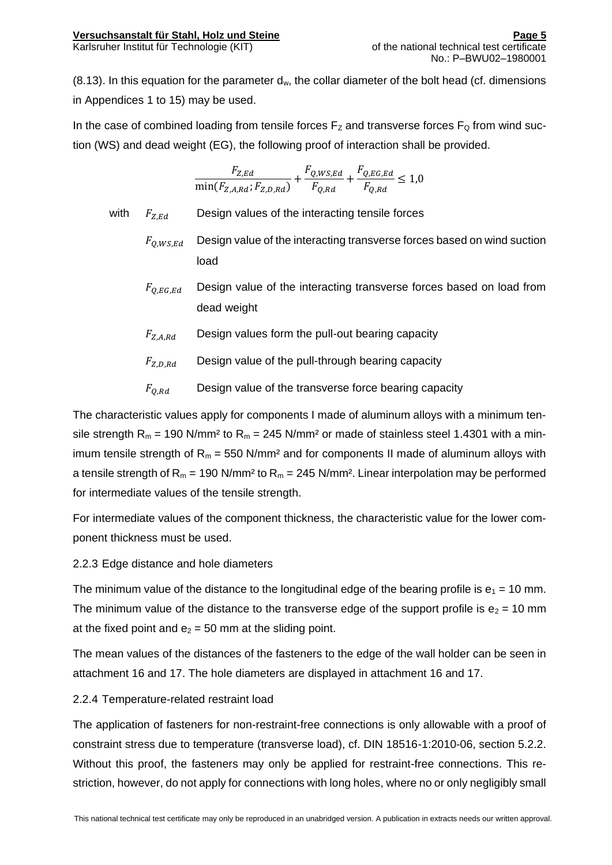$(8.13)$ . In this equation for the parameter  $d_w$ , the collar diameter of the bolt head (cf. dimensions in Appendices 1 to 15) may be used.

In the case of combined loading from tensile forces  $F_Z$  and transverse forces  $F_Q$  from wind suction (WS) and dead weight (EG), the following proof of interaction shall be provided.

$$
\frac{F_{Z,Ed}}{\min(F_{Z,A,Rd};F_{Z,D,Rd})} + \frac{F_{Q,WS,Ed}}{F_{Q,Rd}} + \frac{F_{Q,EG,Ed}}{F_{Q,Rd}} \le 1.0
$$

with  $F_{Z,Ed}$  Design values of the interacting tensile forces

- $F_{0.WS, Ed}$  Design value of the interacting transverse forces based on wind suction load
- $F_{O,EG,Ed}$  Design value of the interacting transverse forces based on load from dead weight
- $F_{Z, A, Rd}$  Design values form the pull-out bearing capacity
- $F_{Z.D.Rd}$  Design value of the pull-through bearing capacity
- $F_{O,Bd}$  Design value of the transverse force bearing capacity

The characteristic values apply for components I made of aluminum alloys with a minimum tensile strength  $R_m = 190$  N/mm<sup>2</sup> to  $R_m = 245$  N/mm<sup>2</sup> or made of stainless steel 1.4301 with a minimum tensile strength of  $R_m = 550$  N/mm<sup>2</sup> and for components II made of aluminum alloys with a tensile strength of  $R_m = 190$  N/mm<sup>2</sup> to  $R_m = 245$  N/mm<sup>2</sup>. Linear interpolation may be performed for intermediate values of the tensile strength.

For intermediate values of the component thickness, the characteristic value for the lower component thickness must be used.

#### 2.2.3 Edge distance and hole diameters

The minimum value of the distance to the longitudinal edge of the bearing profile is  $e_1 = 10$  mm. The minimum value of the distance to the transverse edge of the support profile is  $e_2 = 10$  mm at the fixed point and  $e_2 = 50$  mm at the sliding point.

The mean values of the distances of the fasteners to the edge of the wall holder can be seen in attachment 16 and 17. The hole diameters are displayed in attachment 16 and 17.

#### 2.2.4 Temperature-related restraint load

The application of fasteners for non-restraint-free connections is only allowable with a proof of constraint stress due to temperature (transverse load), cf. DIN 18516-1:2010-06, section 5.2.2. Without this proof, the fasteners may only be applied for restraint-free connections. This restriction, however, do not apply for connections with long holes, where no or only negligibly small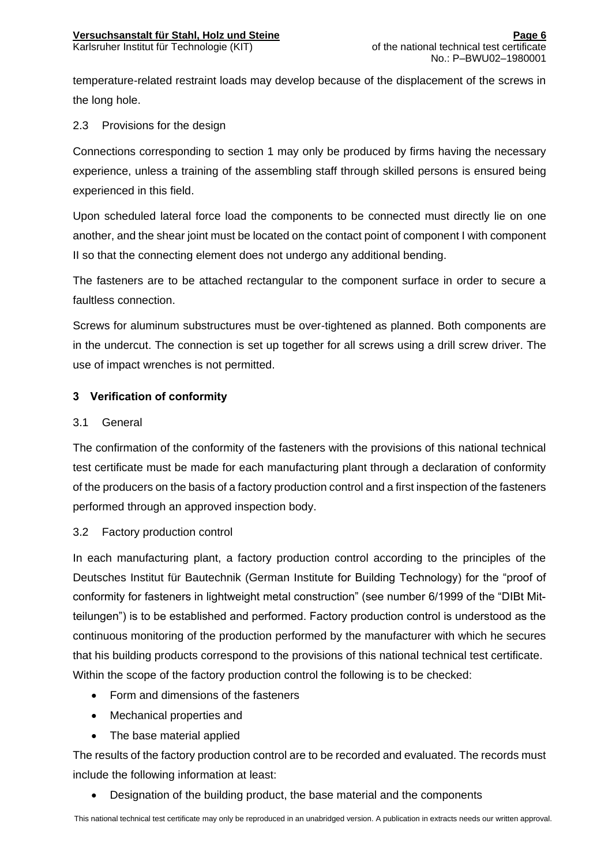temperature-related restraint loads may develop because of the displacement of the screws in the long hole.

#### <span id="page-5-0"></span>2.3 Provisions for the design

Connections corresponding to section 1 may only be produced by firms having the necessary experience, unless a training of the assembling staff through skilled persons is ensured being experienced in this field.

Upon scheduled lateral force load the components to be connected must directly lie on one another, and the shear joint must be located on the contact point of component I with component II so that the connecting element does not undergo any additional bending.

The fasteners are to be attached rectangular to the component surface in order to secure a faultless connection.

Screws for aluminum substructures must be over-tightened as planned. Both components are in the undercut. The connection is set up together for all screws using a drill screw driver. The use of impact wrenches is not permitted.

#### <span id="page-5-1"></span>**3 Verification of conformity**

#### <span id="page-5-2"></span>3.1 General

The confirmation of the conformity of the fasteners with the provisions of this national technical test certificate must be made for each manufacturing plant through a declaration of conformity of the producers on the basis of a factory production control and a first inspection of the fasteners performed through an approved inspection body.

#### <span id="page-5-3"></span>3.2 Factory production control

In each manufacturing plant, a factory production control according to the principles of the Deutsches Institut für Bautechnik (German Institute for Building Technology) for the "proof of conformity for fasteners in lightweight metal construction" (see number 6/1999 of the "DIBt Mitteilungen") is to be established and performed. Factory production control is understood as the continuous monitoring of the production performed by the manufacturer with which he secures that his building products correspond to the provisions of this national technical test certificate. Within the scope of the factory production control the following is to be checked:

- Form and dimensions of the fasteners
- Mechanical properties and
- The base material applied

The results of the factory production control are to be recorded and evaluated. The records must include the following information at least:

Designation of the building product, the base material and the components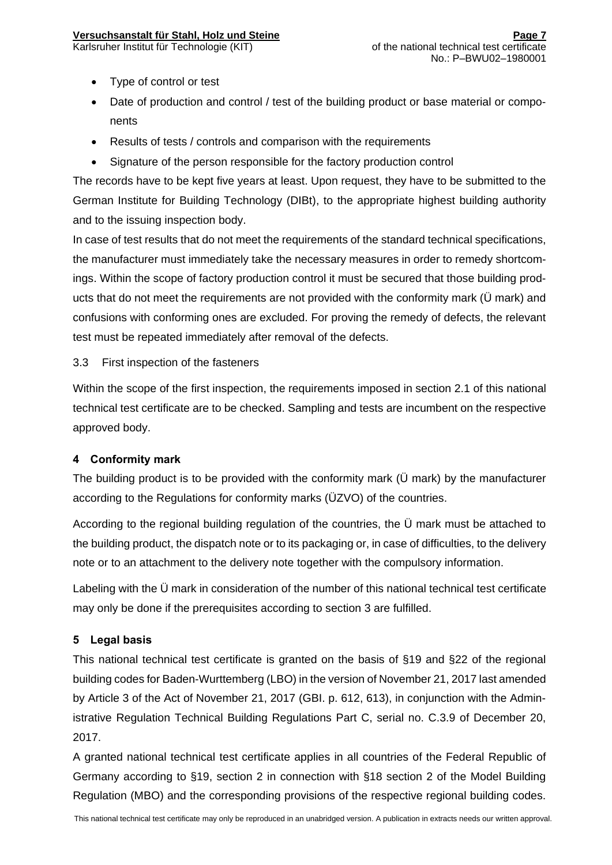#### **Versuchsanstalt für Stahl, Holz und Steine**

- Type of control or test
- Date of production and control / test of the building product or base material or components
- Results of tests / controls and comparison with the requirements
- Signature of the person responsible for the factory production control

The records have to be kept five years at least. Upon request, they have to be submitted to the German Institute for Building Technology (DIBt), to the appropriate highest building authority and to the issuing inspection body.

In case of test results that do not meet the requirements of the standard technical specifications, the manufacturer must immediately take the necessary measures in order to remedy shortcomings. Within the scope of factory production control it must be secured that those building products that do not meet the requirements are not provided with the conformity mark (Ü mark) and confusions with conforming ones are excluded. For proving the remedy of defects, the relevant test must be repeated immediately after removal of the defects.

#### <span id="page-6-0"></span>3.3 First inspection of the fasteners

Within the scope of the first inspection, the requirements imposed in section 2.1 of this national technical test certificate are to be checked. Sampling and tests are incumbent on the respective approved body.

#### <span id="page-6-1"></span>**4 Conformity mark**

The building product is to be provided with the conformity mark (Ü mark) by the manufacturer according to the Regulations for conformity marks (ÜZVO) of the countries.

According to the regional building regulation of the countries, the Ü mark must be attached to the building product, the dispatch note or to its packaging or, in case of difficulties, to the delivery note or to an attachment to the delivery note together with the compulsory information.

Labeling with the Ü mark in consideration of the number of this national technical test certificate may only be done if the prerequisites according to section 3 are fulfilled.

#### <span id="page-6-2"></span>**5 Legal basis**

This national technical test certificate is granted on the basis of §19 and §22 of the regional building codes for Baden-Wurttemberg (LBO) in the version of November 21, 2017 last amended by Article 3 of the Act of November 21, 2017 (GBI. p. 612, 613), in conjunction with the Administrative Regulation Technical Building Regulations Part C, serial no. C.3.9 of December 20, 2017.

A granted national technical test certificate applies in all countries of the Federal Republic of Germany according to §19, section 2 in connection with §18 section 2 of the Model Building Regulation (MBO) and the corresponding provisions of the respective regional building codes.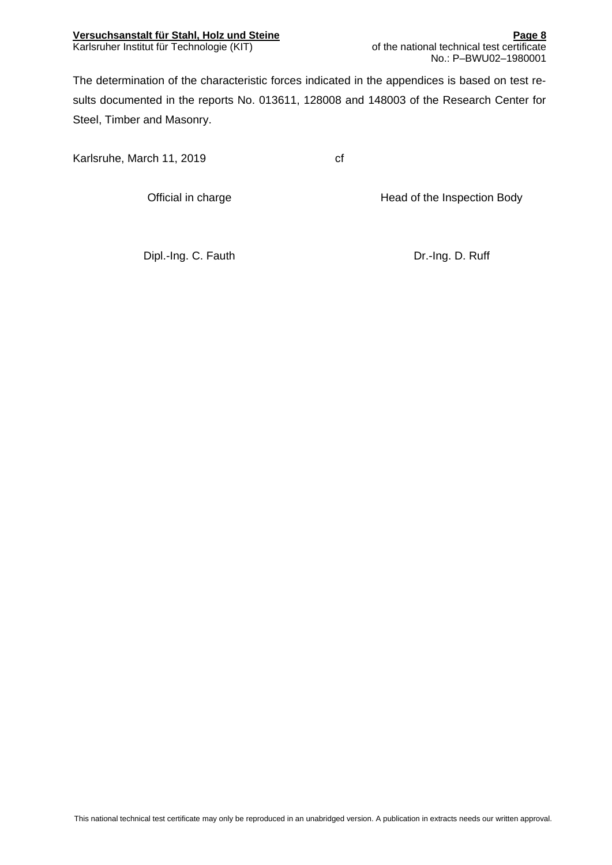The determination of the characteristic forces indicated in the appendices is based on test results documented in the reports No. 013611, 128008 and 148003 of the Research Center for Steel, Timber and Masonry.

Karlsruhe, March 11, 2019 cf

Official in charge **Head of the Inspection Body** 

Dipl.-Ing. C. Fauth Dipl.-Ing. D. Ruff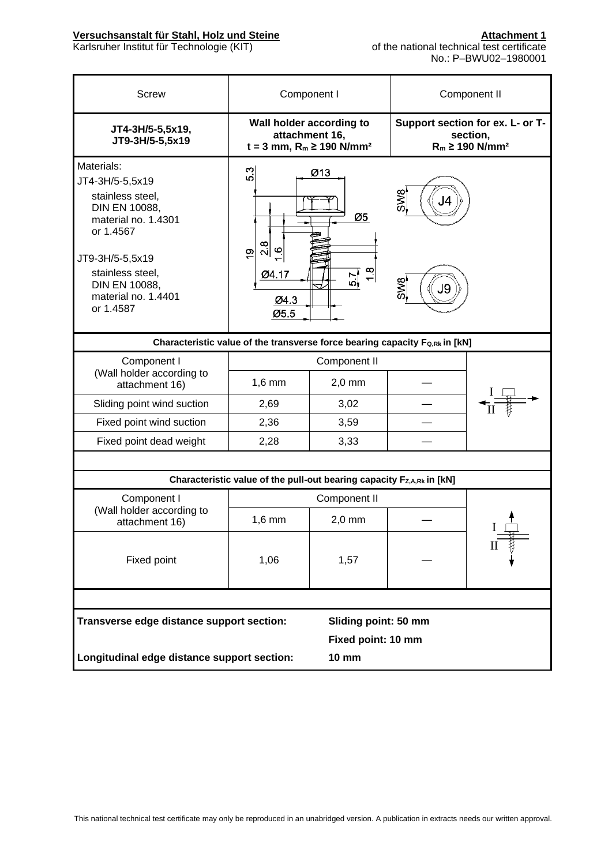| <b>Screw</b>                                                                                                                                                                                       | Component I                                                                 |                                                                                                  |                                                                                  | Component II |  |  |
|----------------------------------------------------------------------------------------------------------------------------------------------------------------------------------------------------|-----------------------------------------------------------------------------|--------------------------------------------------------------------------------------------------|----------------------------------------------------------------------------------|--------------|--|--|
| JT4-3H/5-5,5x19,<br>JT9-3H/5-5,5x19                                                                                                                                                                |                                                                             | Wall holder according to<br>attachment 16,<br>$t = 3$ mm, R <sub>m</sub> ≥ 190 N/mm <sup>2</sup> | Support section for ex. L- or T-<br>section,<br>$R_m \geq 190$ N/mm <sup>2</sup> |              |  |  |
| Materials:<br>JT4-3H/5-5,5x19<br>stainless steel,<br>DIN EN 10088,<br>material no. 1.4301<br>or 1.4567<br>JT9-3H/5-5,5x19<br>stainless steel,<br>DIN EN 10088,<br>material no. 1.4401<br>or 1.4587 | 5.3<br>$\frac{8}{2}$<br>$\frac{6}{1}$<br>ၜ<br>Ø4.17<br>Ø4.3<br>Ø5.5         | Ø13<br>Ø5<br>1.8<br>$5\frac{7}{9}$                                                               | SW <sub>8</sub><br>J4<br>SMS<br>J9                                               |              |  |  |
|                                                                                                                                                                                                    | Characteristic value of the transverse force bearing capacity Fo,Rk in [kN] |                                                                                                  |                                                                                  |              |  |  |
| Component I                                                                                                                                                                                        | Component II                                                                |                                                                                                  |                                                                                  |              |  |  |
| (Wall holder according to<br>attachment 16)                                                                                                                                                        | $1,6$ mm                                                                    | $2,0$ mm                                                                                         |                                                                                  |              |  |  |
| Sliding point wind suction                                                                                                                                                                         | 2,69                                                                        | 3,02                                                                                             |                                                                                  |              |  |  |
| Fixed point wind suction                                                                                                                                                                           | 2,36                                                                        | 3,59                                                                                             |                                                                                  |              |  |  |
| Fixed point dead weight                                                                                                                                                                            | 2,28                                                                        | 3,33                                                                                             |                                                                                  |              |  |  |
|                                                                                                                                                                                                    |                                                                             |                                                                                                  |                                                                                  |              |  |  |
|                                                                                                                                                                                                    | Characteristic value of the pull-out bearing capacity Fz,A,Rk in [kN]       |                                                                                                  |                                                                                  |              |  |  |
| Component I                                                                                                                                                                                        |                                                                             | Component II                                                                                     |                                                                                  |              |  |  |
| (Wall holder according to<br>attachment 16)                                                                                                                                                        | $1,6$ mm                                                                    | $2,0$ mm                                                                                         |                                                                                  | $\mathbf{I}$ |  |  |
| Fixed point                                                                                                                                                                                        | 1,06                                                                        | 1,57                                                                                             |                                                                                  |              |  |  |
|                                                                                                                                                                                                    |                                                                             |                                                                                                  |                                                                                  |              |  |  |
| Transverse edge distance support section:                                                                                                                                                          |                                                                             | Sliding point: 50 mm                                                                             |                                                                                  |              |  |  |
|                                                                                                                                                                                                    | Fixed point: 10 mm                                                          |                                                                                                  |                                                                                  |              |  |  |
| Longitudinal edge distance support section:                                                                                                                                                        |                                                                             | <b>10 mm</b>                                                                                     |                                                                                  |              |  |  |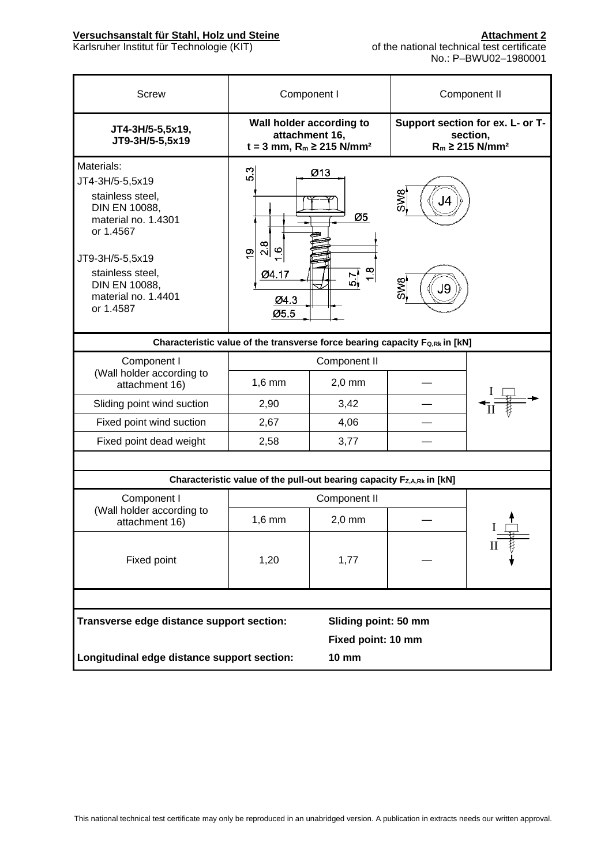| <b>Screw</b>                                                                                                                                                                                       | Component I                                                                 |                                                                                           |                                           | Component II                                                                    |  |
|----------------------------------------------------------------------------------------------------------------------------------------------------------------------------------------------------|-----------------------------------------------------------------------------|-------------------------------------------------------------------------------------------|-------------------------------------------|---------------------------------------------------------------------------------|--|
| JT4-3H/5-5,5x19,<br>JT9-3H/5-5,5x19                                                                                                                                                                |                                                                             | Wall holder according to<br>attachment 16,<br>$t = 3$ mm, $R_m \ge 215$ N/mm <sup>2</sup> |                                           | Support section for ex. L- or T-<br>section,<br>$R_m \ge 215$ N/mm <sup>2</sup> |  |
| Materials:<br>JT4-3H/5-5,5x19<br>stainless steel,<br>DIN EN 10088,<br>material no. 1.4301<br>or 1.4567<br>JT9-3H/5-5,5x19<br>stainless steel,<br>DIN EN 10088,<br>material no. 1.4401<br>or 1.4587 | S.3<br>$\frac{8}{2}$<br>$\circ$<br>$\frac{1}{2}$<br>Ø4.17<br>Ø4.3<br>Ø5.5   | Ø13<br>Ø5<br>$\frac{8}{1}$<br>의                                                           | <b>SW8</b><br><b>SW<sub>S</sub></b><br>J9 |                                                                                 |  |
|                                                                                                                                                                                                    | Characteristic value of the transverse force bearing capacity Fo,Rk in [kN] |                                                                                           |                                           |                                                                                 |  |
| Component I                                                                                                                                                                                        |                                                                             | Component II                                                                              |                                           |                                                                                 |  |
| (Wall holder according to<br>attachment 16)                                                                                                                                                        | $1,6$ mm                                                                    | $2,0$ mm                                                                                  |                                           |                                                                                 |  |
| Sliding point wind suction                                                                                                                                                                         | 2,90                                                                        | 3,42                                                                                      |                                           |                                                                                 |  |
| Fixed point wind suction                                                                                                                                                                           | 2,67                                                                        | 4,06                                                                                      |                                           |                                                                                 |  |
| Fixed point dead weight                                                                                                                                                                            | 2,58                                                                        | 3,77                                                                                      |                                           |                                                                                 |  |
|                                                                                                                                                                                                    |                                                                             |                                                                                           |                                           |                                                                                 |  |
|                                                                                                                                                                                                    | Characteristic value of the pull-out bearing capacity Fz,A,Rk in [kN]       |                                                                                           |                                           |                                                                                 |  |
| Component I                                                                                                                                                                                        |                                                                             | Component II                                                                              |                                           |                                                                                 |  |
| (Wall holder according to<br>attachment 16)                                                                                                                                                        | $1,6$ mm                                                                    | $2,0$ mm                                                                                  |                                           |                                                                                 |  |
| Fixed point                                                                                                                                                                                        | 1,20                                                                        | 1,77                                                                                      |                                           | П                                                                               |  |
|                                                                                                                                                                                                    |                                                                             |                                                                                           |                                           |                                                                                 |  |
| Transverse edge distance support section:                                                                                                                                                          |                                                                             | Sliding point: 50 mm                                                                      |                                           |                                                                                 |  |
|                                                                                                                                                                                                    | Fixed point: 10 mm                                                          |                                                                                           |                                           |                                                                                 |  |
| Longitudinal edge distance support section:                                                                                                                                                        |                                                                             | <b>10 mm</b>                                                                              |                                           |                                                                                 |  |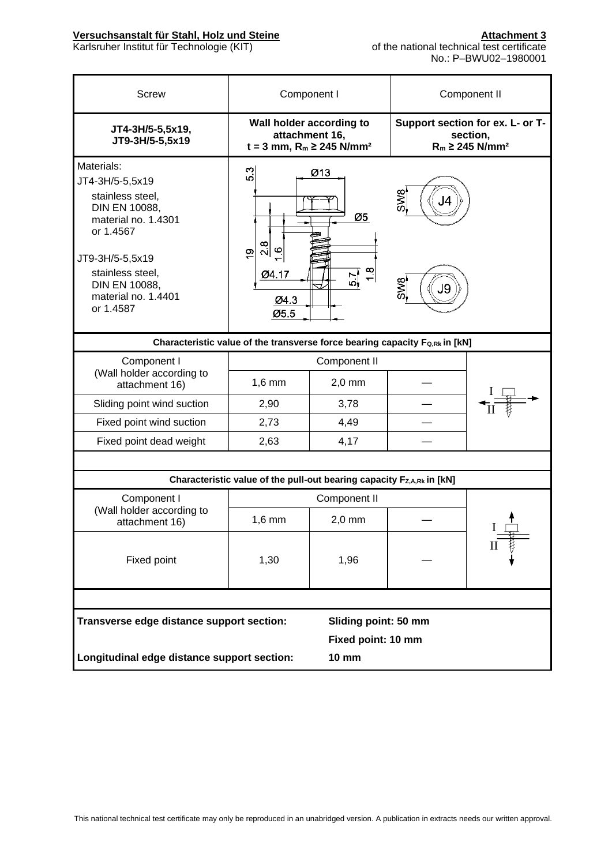| <b>Screw</b>                                                                                                                                                                                       | Component I                                                                               |                       |                                                                                 | Component II |  |  |
|----------------------------------------------------------------------------------------------------------------------------------------------------------------------------------------------------|-------------------------------------------------------------------------------------------|-----------------------|---------------------------------------------------------------------------------|--------------|--|--|
| JT4-3H/5-5,5x19,<br>JT9-3H/5-5,5x19                                                                                                                                                                | Wall holder according to<br>attachment 16,<br>$t = 3$ mm, $R_m \ge 245$ N/mm <sup>2</sup> |                       | Support section for ex. L- or T-<br>section,<br>$R_m \ge 245$ N/mm <sup>2</sup> |              |  |  |
| Materials:<br>JT4-3H/5-5,5x19<br>stainless steel,<br>DIN EN 10088,<br>material no. 1.4301<br>or 1.4567<br>JT9-3H/5-5,5x19<br>stainless steel,<br>DIN EN 10088,<br>material no. 1.4401<br>or 1.4587 | က<br>ယ<br>$\frac{8}{2}$<br>$\omega$<br>$\frac{6}{5}$<br>Ø4.17<br>Ø4.3<br>Ø5.5             | Ø13<br>Ø5<br>1.8<br>의 | SW8<br>IZ<br>SW8<br>Jg                                                          |              |  |  |
|                                                                                                                                                                                                    | Characteristic value of the transverse force bearing capacity Fo,Rk in [kN]               |                       |                                                                                 |              |  |  |
| Component I                                                                                                                                                                                        |                                                                                           | Component II          |                                                                                 |              |  |  |
| (Wall holder according to<br>attachment 16)                                                                                                                                                        | $1,6$ mm                                                                                  | $2,0$ mm              |                                                                                 |              |  |  |
| Sliding point wind suction                                                                                                                                                                         | 2,90                                                                                      | 3,78                  |                                                                                 |              |  |  |
| Fixed point wind suction                                                                                                                                                                           | 2,73                                                                                      | 4,49                  |                                                                                 |              |  |  |
| Fixed point dead weight                                                                                                                                                                            | 2,63                                                                                      | 4,17                  |                                                                                 |              |  |  |
|                                                                                                                                                                                                    |                                                                                           |                       |                                                                                 |              |  |  |
|                                                                                                                                                                                                    | Characteristic value of the pull-out bearing capacity Fz,A,Rk in [kN]                     |                       |                                                                                 |              |  |  |
| Component I                                                                                                                                                                                        |                                                                                           | Component II          |                                                                                 |              |  |  |
| (Wall holder according to<br>attachment 16)                                                                                                                                                        | $1,6$ mm                                                                                  | $2,0$ mm              |                                                                                 |              |  |  |
| Fixed point                                                                                                                                                                                        | 1,30                                                                                      | 1,96                  |                                                                                 |              |  |  |
|                                                                                                                                                                                                    |                                                                                           |                       |                                                                                 |              |  |  |
|                                                                                                                                                                                                    | Transverse edge distance support section:<br>Sliding point: 50 mm                         |                       |                                                                                 |              |  |  |
|                                                                                                                                                                                                    |                                                                                           | Fixed point: 10 mm    |                                                                                 |              |  |  |
|                                                                                                                                                                                                    | Longitudinal edge distance support section:<br><b>10 mm</b>                               |                       |                                                                                 |              |  |  |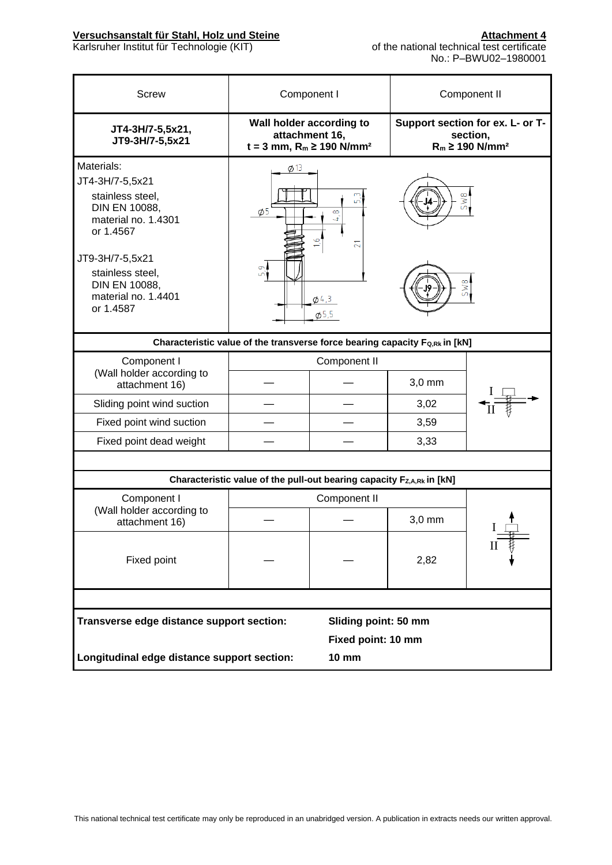| Component I<br>Component II                                                                                                                                                                               |                                                                                                  |                      |          |                                                                                 |  |  |
|-----------------------------------------------------------------------------------------------------------------------------------------------------------------------------------------------------------|--------------------------------------------------------------------------------------------------|----------------------|----------|---------------------------------------------------------------------------------|--|--|
| <b>Screw</b>                                                                                                                                                                                              |                                                                                                  |                      |          |                                                                                 |  |  |
| JT4-3H/7-5,5x21,<br>JT9-3H/7-5,5x21                                                                                                                                                                       | Wall holder according to<br>attachment 16,<br>$t = 3$ mm, R <sub>m</sub> ≥ 190 N/mm <sup>2</sup> |                      |          | Support section for ex. L- or T-<br>section,<br>$R_m \ge 190$ N/mm <sup>2</sup> |  |  |
| Materials:<br>JT4-3H/7-5,5x21<br>stainless steel,<br><b>DIN EN 10088,</b><br>material no. 1.4301<br>or 1.4567<br>JT9-3H/7-5,5x21<br>stainless steel,<br>DIN EN 10088,<br>material no. 1.4401<br>or 1.4587 | $\phi$ 13<br>$\phi$ 5<br>Ğ,<br>ഫ്                                                                | 5W8<br>5W8           |          |                                                                                 |  |  |
|                                                                                                                                                                                                           | Characteristic value of the transverse force bearing capacity F <sub>Q,Rk</sub> in [kN]          |                      |          |                                                                                 |  |  |
| Component I<br>Component II                                                                                                                                                                               |                                                                                                  |                      |          |                                                                                 |  |  |
| (Wall holder according to<br>attachment 16)                                                                                                                                                               |                                                                                                  |                      | $3,0$ mm |                                                                                 |  |  |
| Sliding point wind suction                                                                                                                                                                                |                                                                                                  |                      | 3,02     |                                                                                 |  |  |
| Fixed point wind suction                                                                                                                                                                                  |                                                                                                  |                      | 3,59     |                                                                                 |  |  |
| Fixed point dead weight                                                                                                                                                                                   |                                                                                                  |                      | 3,33     |                                                                                 |  |  |
|                                                                                                                                                                                                           |                                                                                                  |                      |          |                                                                                 |  |  |
|                                                                                                                                                                                                           | Characteristic value of the pull-out bearing capacity Fz,A,Rk in [kN]                            |                      |          |                                                                                 |  |  |
| Component I                                                                                                                                                                                               |                                                                                                  | Component II         |          |                                                                                 |  |  |
| (Wall holder according to<br>attachment 16)                                                                                                                                                               |                                                                                                  |                      | $3,0$ mm |                                                                                 |  |  |
| Fixed point                                                                                                                                                                                               |                                                                                                  |                      | 2,82     |                                                                                 |  |  |
|                                                                                                                                                                                                           |                                                                                                  |                      |          |                                                                                 |  |  |
| Transverse edge distance support section:                                                                                                                                                                 |                                                                                                  | Sliding point: 50 mm |          |                                                                                 |  |  |
| Fixed point: 10 mm                                                                                                                                                                                        |                                                                                                  |                      |          |                                                                                 |  |  |
| Longitudinal edge distance support section:                                                                                                                                                               |                                                                                                  | <b>10 mm</b>         |          |                                                                                 |  |  |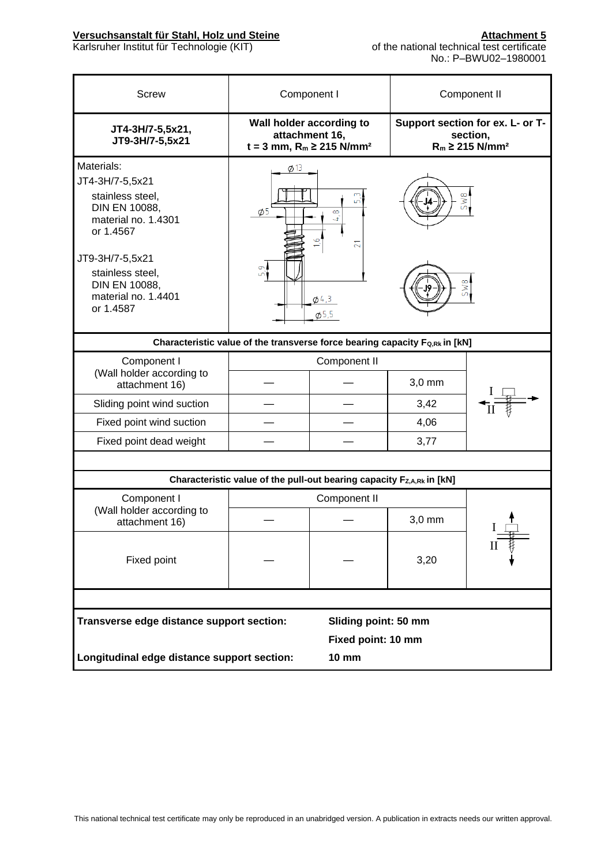| <b>Screw</b>                                                                                                                                                                                       | Component I                                                                                      |                                                       |        | Component II                                                                    |  |
|----------------------------------------------------------------------------------------------------------------------------------------------------------------------------------------------------|--------------------------------------------------------------------------------------------------|-------------------------------------------------------|--------|---------------------------------------------------------------------------------|--|
| JT4-3H/7-5,5x21,<br>JT9-3H/7-5,5x21                                                                                                                                                                | Wall holder according to<br>attachment 16,<br>$t = 3$ mm, R <sub>m</sub> ≥ 215 N/mm <sup>2</sup> |                                                       |        | Support section for ex. L- or T-<br>section,<br>$R_m \ge 215$ N/mm <sup>2</sup> |  |
| Materials:<br>JT4-3H/7-5,5x21<br>stainless steel,<br>DIN EN 10088,<br>material no. 1.4301<br>or 1.4567<br>JT9-3H/7-5,5x21<br>stainless steel,<br>DIN EN 10088,<br>material no. 1.4401<br>or 1.4587 | $\phi$ 13<br>$\phi$ 5<br>Ċ<br>Ln.                                                                | 5W8<br>$\infty$<br>4<br>ಸ<br>$\phi$ 4,3<br>$\phi$ 5,5 |        |                                                                                 |  |
|                                                                                                                                                                                                    | Characteristic value of the transverse force bearing capacity Fo,Rk in [kN]                      |                                                       |        |                                                                                 |  |
| Component I<br>(Wall holder according to<br>attachment 16)                                                                                                                                         |                                                                                                  | Component II                                          | 3,0 mm |                                                                                 |  |
| Sliding point wind suction                                                                                                                                                                         |                                                                                                  |                                                       | 3,42   |                                                                                 |  |
| Fixed point wind suction                                                                                                                                                                           |                                                                                                  |                                                       | 4,06   |                                                                                 |  |
| Fixed point dead weight                                                                                                                                                                            |                                                                                                  |                                                       | 3,77   |                                                                                 |  |
|                                                                                                                                                                                                    |                                                                                                  |                                                       |        |                                                                                 |  |
|                                                                                                                                                                                                    | Characteristic value of the pull-out bearing capacity Fz,A,Rk in [kN]                            |                                                       |        |                                                                                 |  |
| Component I                                                                                                                                                                                        |                                                                                                  | Component II                                          |        |                                                                                 |  |
| (Wall holder according to<br>attachment 16)                                                                                                                                                        |                                                                                                  |                                                       | 3,0 mm |                                                                                 |  |
| Fixed point                                                                                                                                                                                        |                                                                                                  |                                                       | 3,20   |                                                                                 |  |
|                                                                                                                                                                                                    |                                                                                                  |                                                       |        |                                                                                 |  |
| Transverse edge distance support section:<br>Sliding point: 50 mm<br>Fixed point: 10 mm                                                                                                            |                                                                                                  |                                                       |        |                                                                                 |  |
| Longitudinal edge distance support section:<br><b>10 mm</b>                                                                                                                                        |                                                                                                  |                                                       |        |                                                                                 |  |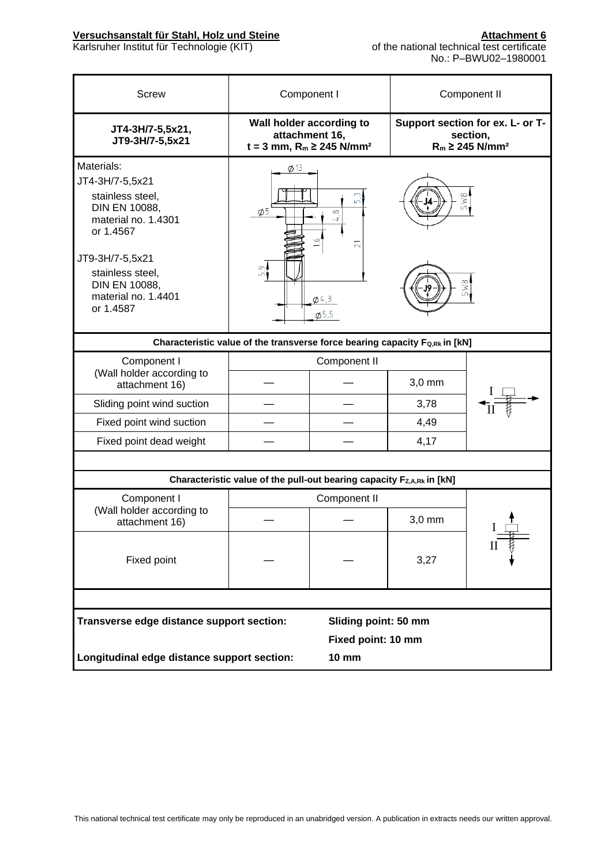| <b>Screw</b>                                                                                                                                                                                              | Component I                                                                               |                                                                                 |        | Component II                                                                    |  |  |
|-----------------------------------------------------------------------------------------------------------------------------------------------------------------------------------------------------------|-------------------------------------------------------------------------------------------|---------------------------------------------------------------------------------|--------|---------------------------------------------------------------------------------|--|--|
| JT4-3H/7-5,5x21,<br>JT9-3H/7-5,5x21                                                                                                                                                                       | Wall holder according to<br>attachment 16,<br>$t = 3$ mm, $R_m \ge 245$ N/mm <sup>2</sup> |                                                                                 |        | Support section for ex. L- or T-<br>section,<br>$R_m \ge 245$ N/mm <sup>2</sup> |  |  |
| Materials:<br>JT4-3H/7-5,5x21<br>stainless steel.<br><b>DIN EN 10088,</b><br>material no. 1.4301<br>or 1.4567<br>JT9-3H/7-5,5x21<br>stainless steel,<br>DIN EN 10088,<br>material no. 1.4401<br>or 1.4587 | $\phi$ 13<br>$\phi$ <sub>5</sub><br>Ō.<br>மி                                              | 5W8<br>மா<br>$\infty$<br>4<br>$\overline{2}$<br>5W8<br>$\phi$ 4,3<br>$\phi$ 5,5 |        |                                                                                 |  |  |
|                                                                                                                                                                                                           | Characteristic value of the transverse force bearing capacity Fo,Rk in [kN]               |                                                                                 |        |                                                                                 |  |  |
| Component I<br>Component II                                                                                                                                                                               |                                                                                           |                                                                                 |        |                                                                                 |  |  |
| (Wall holder according to<br>attachment 16)                                                                                                                                                               |                                                                                           |                                                                                 | 3,0 mm |                                                                                 |  |  |
| Sliding point wind suction                                                                                                                                                                                |                                                                                           |                                                                                 | 3,78   |                                                                                 |  |  |
| Fixed point wind suction                                                                                                                                                                                  |                                                                                           |                                                                                 | 4,49   |                                                                                 |  |  |
| Fixed point dead weight                                                                                                                                                                                   |                                                                                           |                                                                                 | 4,17   |                                                                                 |  |  |
|                                                                                                                                                                                                           |                                                                                           |                                                                                 |        |                                                                                 |  |  |
|                                                                                                                                                                                                           | Characteristic value of the pull-out bearing capacity Fz,A,Rk in [kN]                     |                                                                                 |        |                                                                                 |  |  |
| Component I                                                                                                                                                                                               |                                                                                           | Component II                                                                    |        |                                                                                 |  |  |
| (Wall holder according to<br>attachment 16)                                                                                                                                                               |                                                                                           |                                                                                 | 3,0 mm |                                                                                 |  |  |
| Fixed point                                                                                                                                                                                               |                                                                                           |                                                                                 | 3,27   |                                                                                 |  |  |
|                                                                                                                                                                                                           |                                                                                           |                                                                                 |        |                                                                                 |  |  |
| Transverse edge distance support section:<br>Sliding point: 50 mm<br>Fixed point: 10 mm<br>Longitudinal edge distance support section:<br><b>10 mm</b>                                                    |                                                                                           |                                                                                 |        |                                                                                 |  |  |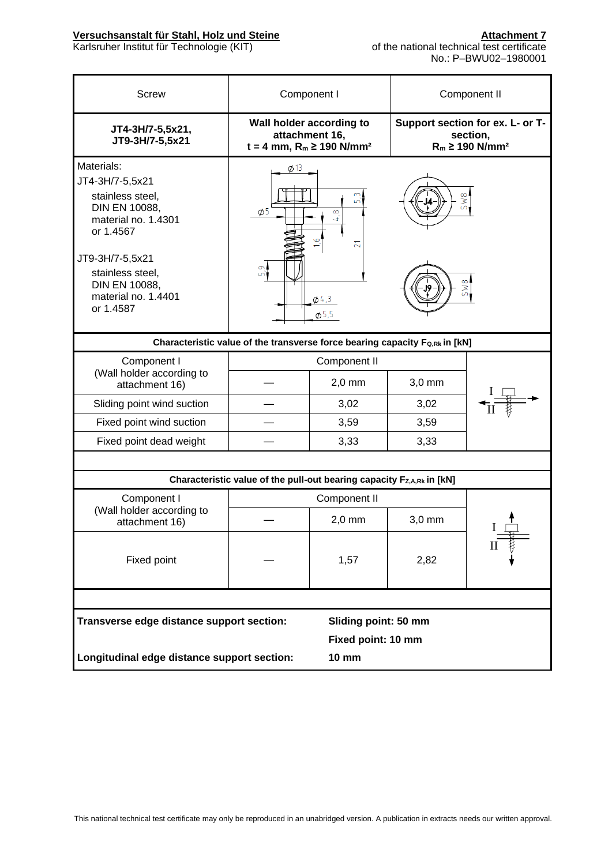| <b>Screw</b>                                                                                                                                                                                       | Component I                                                                               |                                                                    |                                                                                 | Component II |
|----------------------------------------------------------------------------------------------------------------------------------------------------------------------------------------------------|-------------------------------------------------------------------------------------------|--------------------------------------------------------------------|---------------------------------------------------------------------------------|--------------|
| JT4-3H/7-5,5x21,<br>JT9-3H/7-5,5x21                                                                                                                                                                | Wall holder according to<br>attachment 16,<br>$t = 4$ mm, $R_m \ge 190$ N/mm <sup>2</sup> |                                                                    | Support section for ex. L- or T-<br>section,<br>$R_m \ge 190$ N/mm <sup>2</sup> |              |
| Materials:<br>JT4-3H/7-5,5x21<br>stainless steel,<br>DIN EN 10088,<br>material no. 1.4301<br>or 1.4567<br>JT9-3H/7-5,5x21<br>stainless steel,<br>DIN EN 10088,<br>material no. 1.4401<br>or 1.4587 | $\phi$ 13<br>$\phi$ 5<br>Ğ,<br>ഫ്                                                         | L٢<br>$\infty$<br>4<br>$\overline{21}$<br>$\phi$ 4,3<br>$\phi$ 5,5 | 5W8<br>5W8                                                                      |              |
|                                                                                                                                                                                                    | Characteristic value of the transverse force bearing capacity Fo,Rk in [kN]               |                                                                    |                                                                                 |              |
| Component I<br>(Wall holder according to                                                                                                                                                           |                                                                                           | Component II                                                       |                                                                                 |              |
| attachment 16)                                                                                                                                                                                     |                                                                                           | $2,0$ mm                                                           | $3,0$ mm                                                                        |              |
| Sliding point wind suction                                                                                                                                                                         |                                                                                           | 3,02                                                               | 3,02                                                                            |              |
| Fixed point wind suction                                                                                                                                                                           |                                                                                           | 3,59                                                               | 3,59                                                                            |              |
| Fixed point dead weight                                                                                                                                                                            |                                                                                           | 3,33                                                               | 3,33                                                                            |              |
|                                                                                                                                                                                                    |                                                                                           |                                                                    |                                                                                 |              |
|                                                                                                                                                                                                    | Characteristic value of the pull-out bearing capacity Fz,A,Rk in [kN]                     |                                                                    |                                                                                 |              |
| Component I                                                                                                                                                                                        |                                                                                           | Component II                                                       |                                                                                 |              |
| (Wall holder according to<br>attachment 16)                                                                                                                                                        |                                                                                           | $2,0$ mm                                                           | $3,0$ mm                                                                        |              |
| Fixed point                                                                                                                                                                                        |                                                                                           | 1,57                                                               | 2,82                                                                            |              |
|                                                                                                                                                                                                    |                                                                                           |                                                                    |                                                                                 |              |
| Transverse edge distance support section:                                                                                                                                                          |                                                                                           | Sliding point: 50 mm                                               |                                                                                 |              |
|                                                                                                                                                                                                    | Fixed point: 10 mm                                                                        |                                                                    |                                                                                 |              |
| Longitudinal edge distance support section:                                                                                                                                                        | <b>10 mm</b>                                                                              |                                                                    |                                                                                 |              |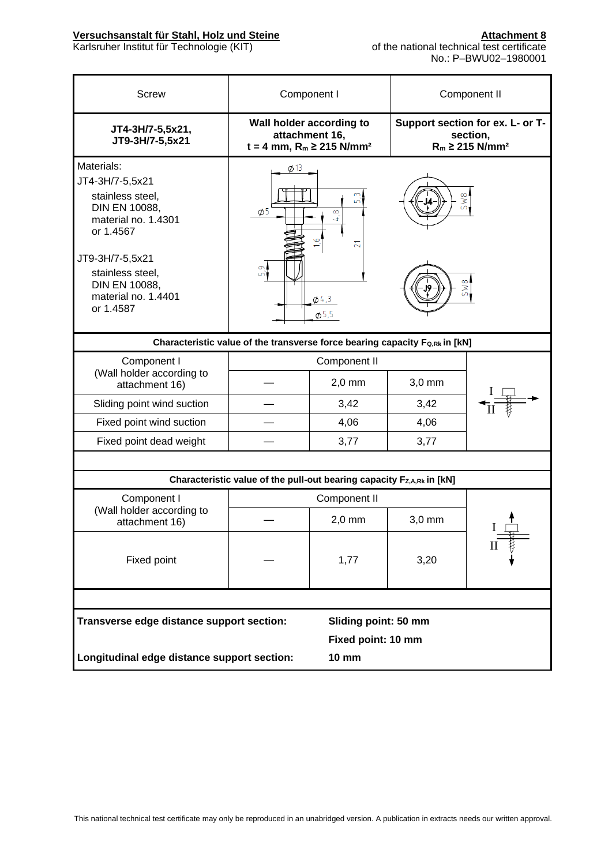| <b>Screw</b>                                                                                                                                                                                       | Component I                                                                               |                                                       |            | Component II                                                                    |  |
|----------------------------------------------------------------------------------------------------------------------------------------------------------------------------------------------------|-------------------------------------------------------------------------------------------|-------------------------------------------------------|------------|---------------------------------------------------------------------------------|--|
| JT4-3H/7-5,5x21,<br>JT9-3H/7-5,5x21                                                                                                                                                                | Wall holder according to<br>attachment 16,<br>$t = 4$ mm, $R_m \ge 215$ N/mm <sup>2</sup> |                                                       |            | Support section for ex. L- or T-<br>section,<br>$R_m \ge 215$ N/mm <sup>2</sup> |  |
| Materials:<br>JT4-3H/7-5,5x21<br>stainless steel,<br>DIN EN 10088,<br>material no. 1.4301<br>or 1.4567<br>JT9-3H/7-5,5x21<br>stainless steel,<br>DIN EN 10088,<br>material no. 1.4401<br>or 1.4587 | $\phi$ 13<br>$\phi$ <sub>5</sub><br>5,9                                                   | $\infty$<br>4<br>$\overline{2}$<br>$\phi$ 4,3<br>05,5 | 5W8<br>5W8 |                                                                                 |  |
|                                                                                                                                                                                                    | Characteristic value of the transverse force bearing capacity F <sub>Q,Rk</sub> in [kN]   |                                                       |            |                                                                                 |  |
| Component I<br>Component II                                                                                                                                                                        |                                                                                           |                                                       |            |                                                                                 |  |
| (Wall holder according to<br>attachment 16)                                                                                                                                                        |                                                                                           | $2,0$ mm                                              | $3,0$ mm   |                                                                                 |  |
| Sliding point wind suction                                                                                                                                                                         |                                                                                           | 3,42                                                  | 3,42       |                                                                                 |  |
| Fixed point wind suction                                                                                                                                                                           |                                                                                           | 4,06                                                  | 4,06       |                                                                                 |  |
| Fixed point dead weight                                                                                                                                                                            |                                                                                           | 3,77                                                  | 3,77       |                                                                                 |  |
|                                                                                                                                                                                                    |                                                                                           |                                                       |            |                                                                                 |  |
|                                                                                                                                                                                                    | Characteristic value of the pull-out bearing capacity Fz,A,Rk in [kN]                     |                                                       |            |                                                                                 |  |
| Component I                                                                                                                                                                                        |                                                                                           | Component II                                          |            |                                                                                 |  |
| (Wall holder according to<br>attachment 16)                                                                                                                                                        |                                                                                           | $2,0$ mm                                              | 3,0 mm     |                                                                                 |  |
| Fixed point                                                                                                                                                                                        |                                                                                           | 1,77                                                  | 3,20       | П                                                                               |  |
|                                                                                                                                                                                                    |                                                                                           |                                                       |            |                                                                                 |  |
| Transverse edge distance support section:                                                                                                                                                          |                                                                                           | Sliding point: 50 mm                                  |            |                                                                                 |  |
|                                                                                                                                                                                                    | Fixed point: 10 mm                                                                        |                                                       |            |                                                                                 |  |
|                                                                                                                                                                                                    | Longitudinal edge distance support section:<br><b>10 mm</b>                               |                                                       |            |                                                                                 |  |
|                                                                                                                                                                                                    |                                                                                           |                                                       |            |                                                                                 |  |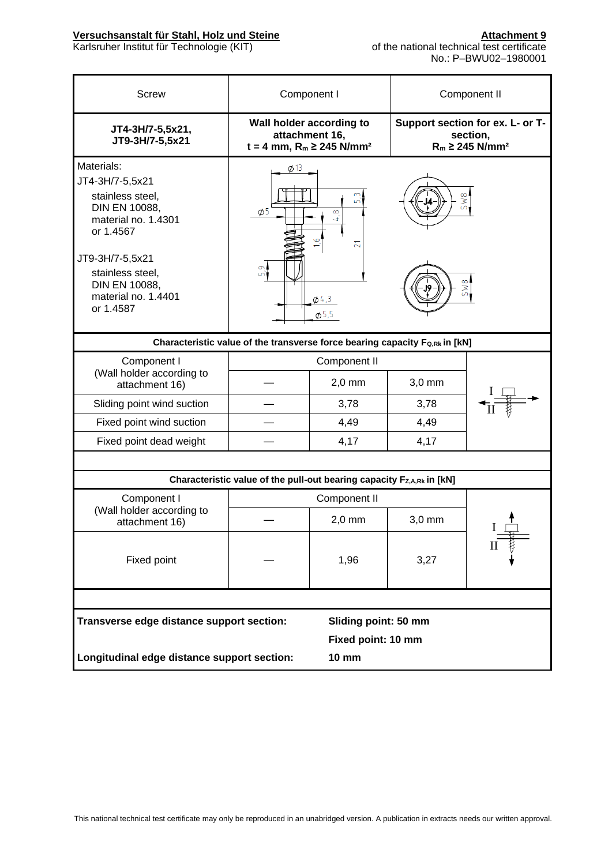| <b>Screw</b>                                                                                                                                                                                       | Component I                                                                             |                                                                         |            | Component II                                                                    |
|----------------------------------------------------------------------------------------------------------------------------------------------------------------------------------------------------|-----------------------------------------------------------------------------------------|-------------------------------------------------------------------------|------------|---------------------------------------------------------------------------------|
| JT4-3H/7-5,5x21,<br>JT9-3H/7-5,5x21                                                                                                                                                                | attachment 16,                                                                          | Wall holder according to<br>$t = 4$ mm, $R_m \ge 245$ N/mm <sup>2</sup> |            | Support section for ex. L- or T-<br>section,<br>$R_m \ge 245$ N/mm <sup>2</sup> |
| Materials:<br>JT4-3H/7-5,5x21<br>stainless steel,<br>DIN EN 10088,<br>material no. 1.4301<br>or 1.4567<br>JT9-3H/7-5,5x21<br>stainless steel,<br>DIN EN 10088,<br>material no. 1.4401<br>or 1.4587 | $\phi$ 13<br>$\phi$ <sub>5</sub><br>5,9                                                 | $\infty$<br>4<br>$\overline{2}$<br>$\phi$ 4,3<br>05,5                   | 5W8<br>5W8 |                                                                                 |
|                                                                                                                                                                                                    | Characteristic value of the transverse force bearing capacity F <sub>Q,Rk</sub> in [kN] |                                                                         |            |                                                                                 |
| Component I<br>Component II                                                                                                                                                                        |                                                                                         |                                                                         |            |                                                                                 |
| (Wall holder according to<br>attachment 16)                                                                                                                                                        |                                                                                         | $2,0$ mm                                                                | $3,0$ mm   |                                                                                 |
| Sliding point wind suction                                                                                                                                                                         |                                                                                         | 3,78                                                                    | 3,78       |                                                                                 |
| Fixed point wind suction                                                                                                                                                                           |                                                                                         | 4,49                                                                    | 4,49       |                                                                                 |
| Fixed point dead weight                                                                                                                                                                            |                                                                                         | 4,17                                                                    | 4,17       |                                                                                 |
|                                                                                                                                                                                                    |                                                                                         |                                                                         |            |                                                                                 |
|                                                                                                                                                                                                    | Characteristic value of the pull-out bearing capacity Fz,A,Rk in [kN]                   |                                                                         |            |                                                                                 |
| Component I                                                                                                                                                                                        |                                                                                         | Component II                                                            |            |                                                                                 |
| (Wall holder according to<br>attachment 16)                                                                                                                                                        |                                                                                         | $2,0$ mm                                                                | 3,0 mm     |                                                                                 |
| Fixed point                                                                                                                                                                                        |                                                                                         | 1,96                                                                    | 3,27       | П                                                                               |
|                                                                                                                                                                                                    |                                                                                         |                                                                         |            |                                                                                 |
| Transverse edge distance support section:                                                                                                                                                          |                                                                                         | Sliding point: 50 mm                                                    |            |                                                                                 |
|                                                                                                                                                                                                    | Fixed point: 10 mm                                                                      |                                                                         |            |                                                                                 |
| Longitudinal edge distance support section:                                                                                                                                                        | <b>10 mm</b>                                                                            |                                                                         |            |                                                                                 |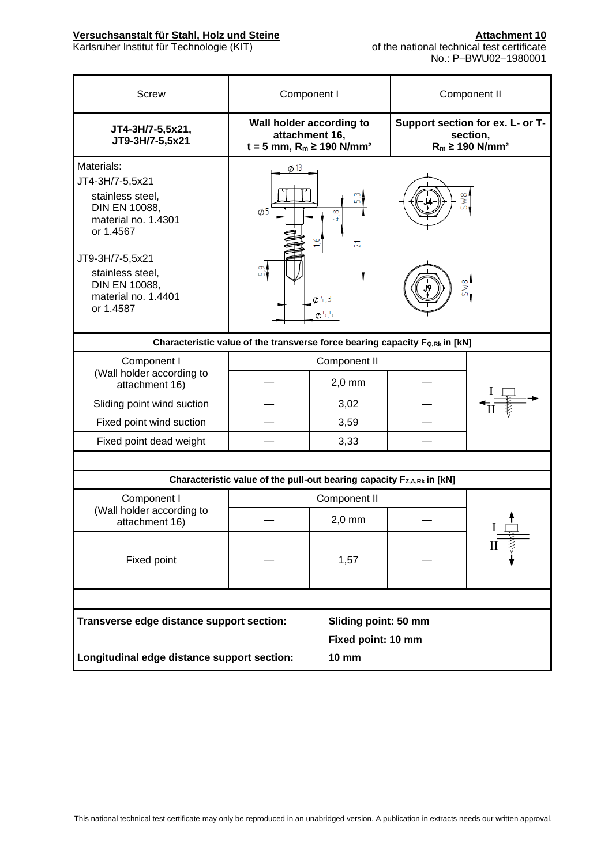| <b>Screw</b>                                                                                                                                                                                       | Component I                                                                                      |                                                      |            | Component II                                                                    |  |  |
|----------------------------------------------------------------------------------------------------------------------------------------------------------------------------------------------------|--------------------------------------------------------------------------------------------------|------------------------------------------------------|------------|---------------------------------------------------------------------------------|--|--|
| JT4-3H/7-5,5x21,<br>JT9-3H/7-5,5x21                                                                                                                                                                | Wall holder according to<br>attachment 16,<br>$t = 5$ mm, R <sub>m</sub> ≥ 190 N/mm <sup>2</sup> |                                                      |            | Support section for ex. L- or T-<br>section,<br>$R_m \ge 190$ N/mm <sup>2</sup> |  |  |
| Materials:<br>JT4-3H/7-5,5x21<br>stainless steel,<br>DIN EN 10088,<br>material no. 1.4301<br>or 1.4567<br>JT9-3H/7-5,5x21<br>stainless steel,<br>DIN EN 10088,<br>material no. 1.4401<br>or 1.4587 | $\phi$ 13<br>$\phi$ <sub>5</sub><br>Ō.<br>ഫ്                                                     | LС<br>$\infty$<br>4<br>ಸ<br>$\phi$ 4,3<br>$\phi$ 5,5 | 5W8<br>5W8 |                                                                                 |  |  |
|                                                                                                                                                                                                    | Characteristic value of the transverse force bearing capacity Fo,Rk in [kN]                      |                                                      |            |                                                                                 |  |  |
| Component I<br>(Wall holder according to<br>attachment 16)                                                                                                                                         |                                                                                                  | Component II<br>$2,0$ mm                             |            |                                                                                 |  |  |
| Sliding point wind suction                                                                                                                                                                         |                                                                                                  | 3,02                                                 |            |                                                                                 |  |  |
| Fixed point wind suction                                                                                                                                                                           |                                                                                                  | 3,59                                                 |            |                                                                                 |  |  |
| Fixed point dead weight                                                                                                                                                                            |                                                                                                  | 3,33                                                 |            |                                                                                 |  |  |
|                                                                                                                                                                                                    |                                                                                                  |                                                      |            |                                                                                 |  |  |
|                                                                                                                                                                                                    | Characteristic value of the pull-out bearing capacity Fz,A,Rk in [kN]                            |                                                      |            |                                                                                 |  |  |
| Component I                                                                                                                                                                                        |                                                                                                  | Component II                                         |            |                                                                                 |  |  |
| (Wall holder according to<br>attachment 16)                                                                                                                                                        |                                                                                                  | $2,0$ mm                                             |            |                                                                                 |  |  |
| Fixed point                                                                                                                                                                                        | 1,57                                                                                             |                                                      |            |                                                                                 |  |  |
|                                                                                                                                                                                                    |                                                                                                  |                                                      |            |                                                                                 |  |  |
| Transverse edge distance support section:                                                                                                                                                          |                                                                                                  | Sliding point: 50 mm                                 |            |                                                                                 |  |  |
|                                                                                                                                                                                                    |                                                                                                  | Fixed point: 10 mm                                   |            |                                                                                 |  |  |
|                                                                                                                                                                                                    | Longitudinal edge distance support section:<br><b>10 mm</b>                                      |                                                      |            |                                                                                 |  |  |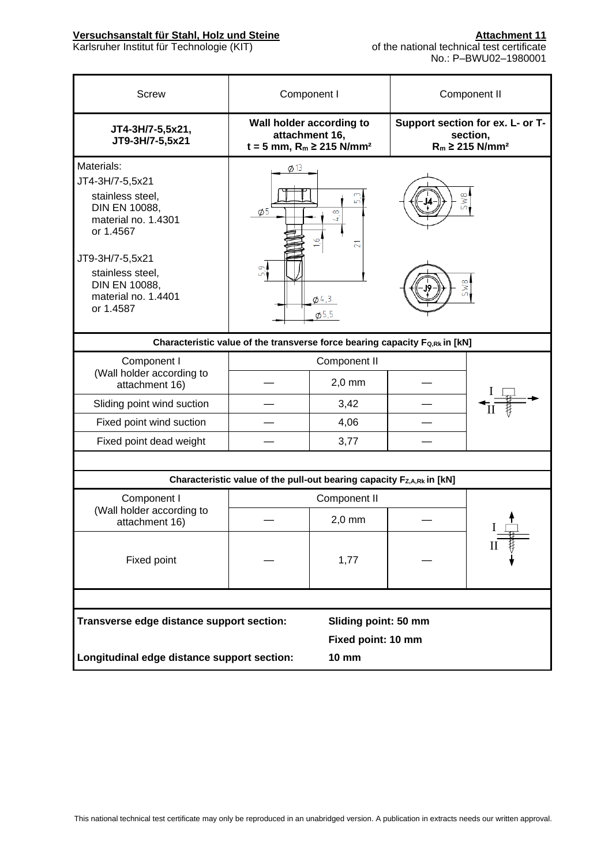| <b>Screw</b>                                                                                                                                                                                       | Component I                                                                               |                                                              | Component II                                                                    |  |  |
|----------------------------------------------------------------------------------------------------------------------------------------------------------------------------------------------------|-------------------------------------------------------------------------------------------|--------------------------------------------------------------|---------------------------------------------------------------------------------|--|--|
| JT4-3H/7-5,5x21,<br>JT9-3H/7-5,5x21                                                                                                                                                                | Wall holder according to<br>attachment 16,<br>$t = 5$ mm, $R_m \ge 215$ N/mm <sup>2</sup> |                                                              | Support section for ex. L- or T-<br>section,<br>$R_m \ge 215$ N/mm <sup>2</sup> |  |  |
| Materials:<br>JT4-3H/7-5,5x21<br>stainless steel.<br>DIN EN 10088,<br>material no. 1.4301<br>or 1.4567<br>JT9-3H/7-5,5x21<br>stainless steel,<br>DIN EN 10088,<br>material no. 1.4401<br>or 1.4587 | Ø 13<br>$\phi$ 5<br>$\sigma$<br>ഫ്                                                        | $\infty$<br>4<br>$\overline{21}$<br>$\phi$ 4,3<br>$\phi$ 5,5 | SW <sub>8</sub><br>5W8                                                          |  |  |
| Characteristic value of the transverse force bearing capacity Fo,Rk in [kN]                                                                                                                        |                                                                                           |                                                              |                                                                                 |  |  |
| Component I<br>(Wall holder according to<br>attachment 16)                                                                                                                                         | Component II<br>$2,0$ mm                                                                  |                                                              |                                                                                 |  |  |
| Sliding point wind suction                                                                                                                                                                         |                                                                                           | 3,42                                                         |                                                                                 |  |  |
| Fixed point wind suction                                                                                                                                                                           |                                                                                           | 4,06                                                         |                                                                                 |  |  |
| Fixed point dead weight                                                                                                                                                                            |                                                                                           | 3,77                                                         |                                                                                 |  |  |
|                                                                                                                                                                                                    |                                                                                           |                                                              |                                                                                 |  |  |
|                                                                                                                                                                                                    | Characteristic value of the pull-out bearing capacity Fz,A,Rk in [kN]                     |                                                              |                                                                                 |  |  |
| Component I                                                                                                                                                                                        | Component II                                                                              |                                                              |                                                                                 |  |  |
| (Wall holder according to<br>attachment 16)                                                                                                                                                        |                                                                                           | $2,0$ mm                                                     |                                                                                 |  |  |
| Fixed point                                                                                                                                                                                        |                                                                                           | 1,77                                                         |                                                                                 |  |  |
|                                                                                                                                                                                                    |                                                                                           |                                                              |                                                                                 |  |  |
|                                                                                                                                                                                                    | Transverse edge distance support section:<br>Sliding point: 50 mm                         |                                                              |                                                                                 |  |  |
|                                                                                                                                                                                                    | Fixed point: 10 mm                                                                        |                                                              |                                                                                 |  |  |
| Longitudinal edge distance support section:                                                                                                                                                        |                                                                                           | <b>10 mm</b>                                                 |                                                                                 |  |  |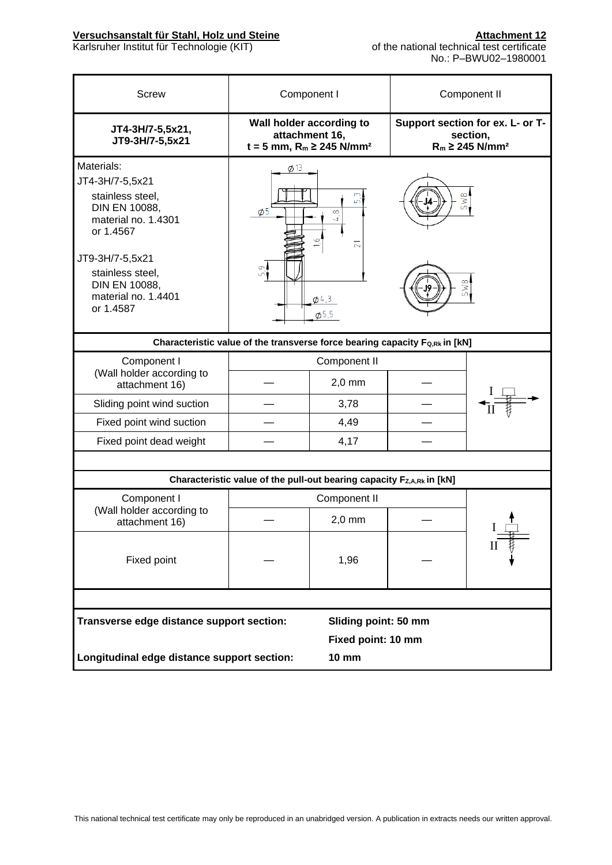| <b>Screw</b>                                                                                                                                                                                       | Component I                                                           |                                                                   |                                                                                  | Component II |  |
|----------------------------------------------------------------------------------------------------------------------------------------------------------------------------------------------------|-----------------------------------------------------------------------|-------------------------------------------------------------------|----------------------------------------------------------------------------------|--------------|--|
| JT4-3H/7-5,5x21,<br>JT9-3H/7-5,5x21                                                                                                                                                                | Wall holder according to<br>attachment 16,                            | $t = 5$ mm, $R_m \ge 245$ N/mm <sup>2</sup>                       | Support section for ex. L- or T-<br>section,<br>$R_m \geq 245$ N/mm <sup>2</sup> |              |  |
| Materials:<br>JT4-3H/7-5,5x21<br>stainless steel,<br>DIN EN 10088,<br>material no. 1.4301<br>or 1.4567<br>JT9-3H/7-5,5x21<br>stainless steel,<br>DIN EN 10088,<br>material no. 1.4401<br>or 1.4587 | $\phi$ 13<br>$\phi$ 5<br>$\sigma$                                     | ம<br>$\infty$<br>4<br>$\overline{21}$<br>$\phi$ 4,3<br>$\phi$ 5,5 | SW <sub>8</sub><br>5W8                                                           |              |  |
| Characteristic value of the transverse force bearing capacity Fo,Rk in [kN]                                                                                                                        |                                                                       |                                                                   |                                                                                  |              |  |
| Component I<br>(Wall holder according to<br>attachment 16)                                                                                                                                         |                                                                       | Component II<br>$2,0$ mm                                          |                                                                                  |              |  |
| Sliding point wind suction                                                                                                                                                                         |                                                                       | 3,78                                                              |                                                                                  |              |  |
| Fixed point wind suction                                                                                                                                                                           |                                                                       | 4,49                                                              |                                                                                  |              |  |
| Fixed point dead weight                                                                                                                                                                            |                                                                       | 4,17                                                              |                                                                                  |              |  |
|                                                                                                                                                                                                    |                                                                       |                                                                   |                                                                                  |              |  |
|                                                                                                                                                                                                    | Characteristic value of the pull-out bearing capacity Fz,A,Rk in [kN] |                                                                   |                                                                                  |              |  |
| Component I                                                                                                                                                                                        | Component II                                                          |                                                                   |                                                                                  |              |  |
| (Wall holder according to<br>attachment 16)                                                                                                                                                        |                                                                       | $2,0$ mm                                                          |                                                                                  |              |  |
| Fixed point                                                                                                                                                                                        |                                                                       | 1,96                                                              |                                                                                  |              |  |
|                                                                                                                                                                                                    |                                                                       |                                                                   |                                                                                  |              |  |
| Transverse edge distance support section:                                                                                                                                                          |                                                                       | Sliding point: 50 mm                                              |                                                                                  |              |  |
|                                                                                                                                                                                                    |                                                                       | Fixed point: 10 mm                                                |                                                                                  |              |  |
| Longitudinal edge distance support section:                                                                                                                                                        |                                                                       | <b>10 mm</b>                                                      |                                                                                  |              |  |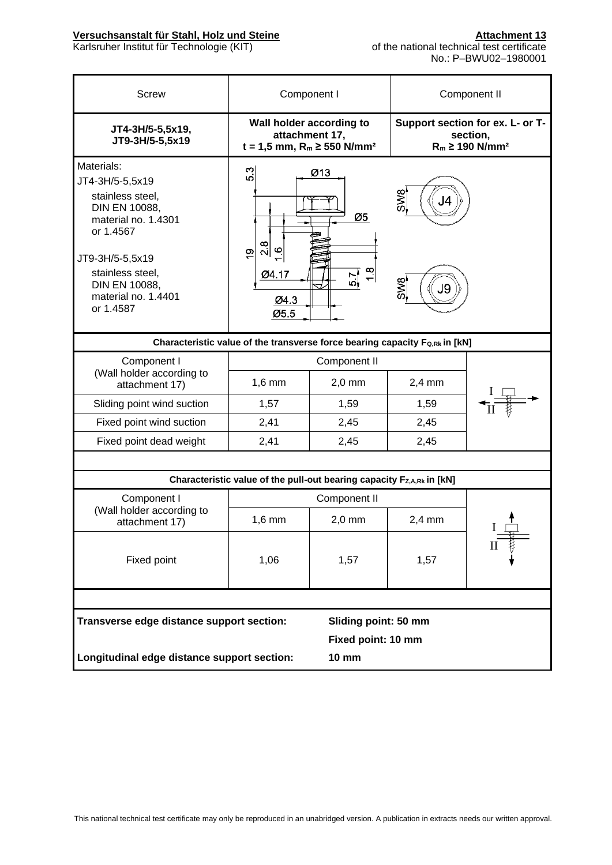| <b>Screw</b>                                                                | Component I                                                                                 |                      | Component II                                                                    |  |  |
|-----------------------------------------------------------------------------|---------------------------------------------------------------------------------------------|----------------------|---------------------------------------------------------------------------------|--|--|
| JT4-3H/5-5,5x19,<br>JT9-3H/5-5,5x19                                         | Wall holder according to<br>attachment 17,<br>$t = 1,5$ mm, $R_m \ge 550$ N/mm <sup>2</sup> |                      | Support section for ex. L- or T-<br>section,<br>$R_m \ge 190$ N/mm <sup>2</sup> |  |  |
| Materials:                                                                  | ω                                                                                           | Ø13                  |                                                                                 |  |  |
| JT4-3H/5-5,5x19                                                             | <b>ی</b>                                                                                    |                      |                                                                                 |  |  |
| stainless steel.<br>DIN EN 10088,<br>material no. 1.4301<br>or 1.4567       |                                                                                             | Ø5                   | SW <sub>8</sub>                                                                 |  |  |
| JT9-3H/5-5,5x19                                                             | $\frac{8}{2}$<br>$\circ$<br>$\frac{6}{5}$                                                   |                      |                                                                                 |  |  |
| stainless steel,<br>DIN EN 10088,<br>material no. 1.4401<br>or 1.4587       | 04.17<br>Ø4.3<br>Ø5.5                                                                       | $\frac{8}{1}$<br>의   | <b>SW<sub>9</sub></b><br>J9                                                     |  |  |
| Characteristic value of the transverse force bearing capacity Fo,Rk in [kN] |                                                                                             |                      |                                                                                 |  |  |
| Component I                                                                 |                                                                                             | Component II         |                                                                                 |  |  |
| (Wall holder according to<br>attachment 17)                                 | $1,6$ mm                                                                                    | $2,0$ mm             | $2,4$ mm                                                                        |  |  |
| Sliding point wind suction                                                  | 1,57                                                                                        | 1,59                 | 1,59                                                                            |  |  |
| Fixed point wind suction                                                    | 2,41                                                                                        | 2,45                 | 2,45                                                                            |  |  |
| Fixed point dead weight                                                     | 2,41                                                                                        | 2,45                 | 2,45                                                                            |  |  |
|                                                                             |                                                                                             |                      |                                                                                 |  |  |
|                                                                             | Characteristic value of the pull-out bearing capacity Fz,A,Rk in [kN]                       |                      |                                                                                 |  |  |
| Component I                                                                 |                                                                                             | Component II         |                                                                                 |  |  |
| (Wall holder according to<br>attachment 17)                                 | $1,6$ mm                                                                                    | $2,0$ mm             | $2,4$ mm                                                                        |  |  |
| Fixed point                                                                 | 1,06                                                                                        | 1,57                 | 1,57                                                                            |  |  |
|                                                                             |                                                                                             |                      |                                                                                 |  |  |
| Transverse edge distance support section:                                   |                                                                                             | Sliding point: 50 mm |                                                                                 |  |  |
|                                                                             | Fixed point: 10 mm                                                                          |                      |                                                                                 |  |  |
| Longitudinal edge distance support section:                                 |                                                                                             | <b>10 mm</b>         |                                                                                 |  |  |
|                                                                             |                                                                                             |                      |                                                                                 |  |  |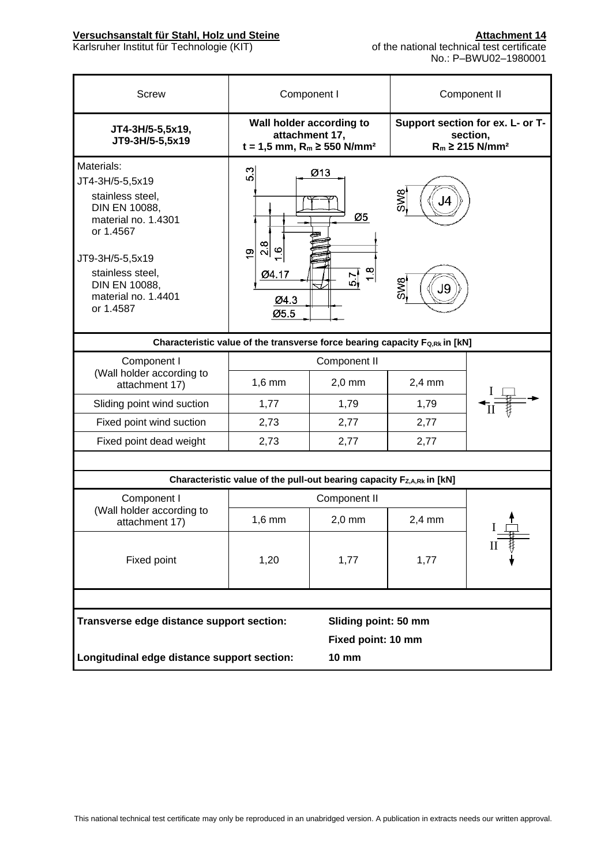| <b>Screw</b>                                                                                                                                                                                       | Component I                                                                                 |                                               | Component II                                                                    |  |  |
|----------------------------------------------------------------------------------------------------------------------------------------------------------------------------------------------------|---------------------------------------------------------------------------------------------|-----------------------------------------------|---------------------------------------------------------------------------------|--|--|
| JT4-3H/5-5,5x19,<br>JT9-3H/5-5,5x19                                                                                                                                                                | Wall holder according to<br>attachment 17,<br>$t = 1,5$ mm, $R_m \ge 550$ N/mm <sup>2</sup> |                                               | Support section for ex. L- or T-<br>section,<br>$R_m \ge 215$ N/mm <sup>2</sup> |  |  |
| Materials:<br>JT4-3H/5-5,5x19<br>stainless steel.<br>DIN EN 10088,<br>material no. 1.4301<br>or 1.4567<br>JT9-3H/5-5,5x19<br>stainless steel,<br>DIN EN 10088,<br>material no. 1.4401<br>or 1.4587 | 5.3<br>$\frac{8}{2}$<br>$\circ$<br><u>စု</u><br>Ø4.17<br>Ø4.3<br>Ø5.5                       | Ø13<br>Ø5<br>$\frac{8}{10}$<br>$\frac{57}{6}$ | <b>SW8</b><br><b>SW<sub>8</sub></b><br>J9                                       |  |  |
| Characteristic value of the transverse force bearing capacity Fo,Rk in [kN]                                                                                                                        |                                                                                             |                                               |                                                                                 |  |  |
| Component I                                                                                                                                                                                        |                                                                                             | Component II                                  |                                                                                 |  |  |
| (Wall holder according to<br>attachment 17)                                                                                                                                                        | $1,6$ mm                                                                                    | $2,0$ mm                                      | $2,4$ mm                                                                        |  |  |
| Sliding point wind suction                                                                                                                                                                         | 1,77                                                                                        | 1,79                                          | 1,79                                                                            |  |  |
| Fixed point wind suction                                                                                                                                                                           | 2,73                                                                                        | 2,77                                          | 2,77                                                                            |  |  |
| Fixed point dead weight                                                                                                                                                                            | 2,73                                                                                        | 2,77                                          | 2,77                                                                            |  |  |
|                                                                                                                                                                                                    |                                                                                             |                                               |                                                                                 |  |  |
|                                                                                                                                                                                                    | Characteristic value of the pull-out bearing capacity Fz,A,Rk in [kN]                       |                                               |                                                                                 |  |  |
| Component I                                                                                                                                                                                        |                                                                                             | Component II                                  |                                                                                 |  |  |
| (Wall holder according to<br>attachment 17)                                                                                                                                                        | $1,6$ mm                                                                                    | $2,0$ mm                                      | $2,4$ mm                                                                        |  |  |
| Fixed point                                                                                                                                                                                        | 1,20                                                                                        | 1,77                                          | 1,77                                                                            |  |  |
|                                                                                                                                                                                                    |                                                                                             |                                               |                                                                                 |  |  |
| Transverse edge distance support section:                                                                                                                                                          |                                                                                             | Sliding point: 50 mm                          |                                                                                 |  |  |
| Fixed point: 10 mm                                                                                                                                                                                 |                                                                                             |                                               |                                                                                 |  |  |
| Longitudinal edge distance support section:                                                                                                                                                        |                                                                                             | <b>10 mm</b>                                  |                                                                                 |  |  |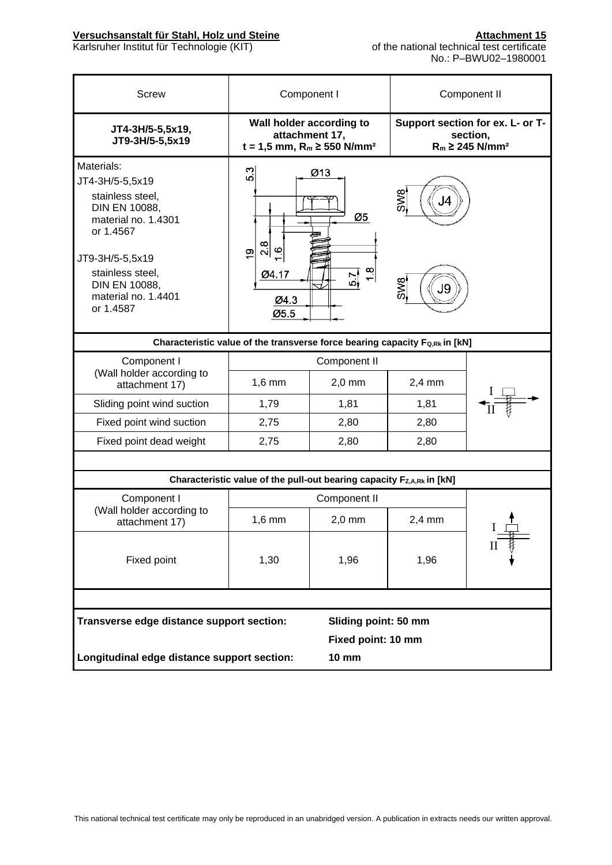| <b>Screw</b>                                                                                                                                                                                       | Component I                                                           |                                                                                             | Component II                                                                     |              |  |
|----------------------------------------------------------------------------------------------------------------------------------------------------------------------------------------------------|-----------------------------------------------------------------------|---------------------------------------------------------------------------------------------|----------------------------------------------------------------------------------|--------------|--|
| JT4-3H/5-5,5x19,<br>JT9-3H/5-5,5x19                                                                                                                                                                |                                                                       | Wall holder according to<br>attachment 17,<br>$t = 1,5$ mm, $R_m \ge 550$ N/mm <sup>2</sup> | Support section for ex. L- or T-<br>section,<br>$R_m \geq 245$ N/mm <sup>2</sup> |              |  |
| Materials:<br>JT4-3H/5-5,5x19<br>stainless steel,<br>DIN EN 10088,<br>material no. 1.4301<br>or 1.4567<br>JT9-3H/5-5,5x19<br>stainless steel,<br>DIN EN 10088,<br>material no. 1.4401<br>or 1.4587 | 5.3<br>$\frac{8}{2}$<br>$\circ$<br><u>ထု</u><br>Ø4.17<br>Ø4.3<br>Ø5.5 | Ø13<br>Ø5<br>1.8<br>$\frac{5}{7}$                                                           | <b>SW8</b><br>SW8<br>J9                                                          |              |  |
| Characteristic value of the transverse force bearing capacity Fo,Rk in [kN]                                                                                                                        |                                                                       |                                                                                             |                                                                                  |              |  |
| Component I                                                                                                                                                                                        | Component II                                                          |                                                                                             |                                                                                  |              |  |
| (Wall holder according to<br>attachment 17)                                                                                                                                                        | $1,6$ mm                                                              | $2,0$ mm                                                                                    | $2,4$ mm                                                                         |              |  |
| Sliding point wind suction                                                                                                                                                                         | 1,79                                                                  | 1,81                                                                                        | 1,81                                                                             |              |  |
| Fixed point wind suction                                                                                                                                                                           | 2,75                                                                  | 2,80                                                                                        | 2,80                                                                             |              |  |
| Fixed point dead weight                                                                                                                                                                            | 2,75                                                                  | 2,80                                                                                        | 2,80                                                                             |              |  |
|                                                                                                                                                                                                    |                                                                       |                                                                                             |                                                                                  |              |  |
|                                                                                                                                                                                                    | Characteristic value of the pull-out bearing capacity Fz,A,Rk in [kN] |                                                                                             |                                                                                  |              |  |
| Component I                                                                                                                                                                                        | Component II                                                          |                                                                                             |                                                                                  |              |  |
| (Wall holder according to<br>attachment 17)                                                                                                                                                        | $1,6$ mm                                                              | $2,0$ mm                                                                                    | $2,4$ mm                                                                         | $\mathbf{I}$ |  |
| Fixed point                                                                                                                                                                                        | 1,30                                                                  | 1,96                                                                                        | 1,96                                                                             |              |  |
|                                                                                                                                                                                                    |                                                                       |                                                                                             |                                                                                  |              |  |
|                                                                                                                                                                                                    | Transverse edge distance support section:<br>Sliding point: 50 mm     |                                                                                             |                                                                                  |              |  |
|                                                                                                                                                                                                    |                                                                       |                                                                                             | Fixed point: 10 mm                                                               |              |  |
| Longitudinal edge distance support section:                                                                                                                                                        |                                                                       | <b>10 mm</b>                                                                                |                                                                                  |              |  |
|                                                                                                                                                                                                    |                                                                       |                                                                                             |                                                                                  |              |  |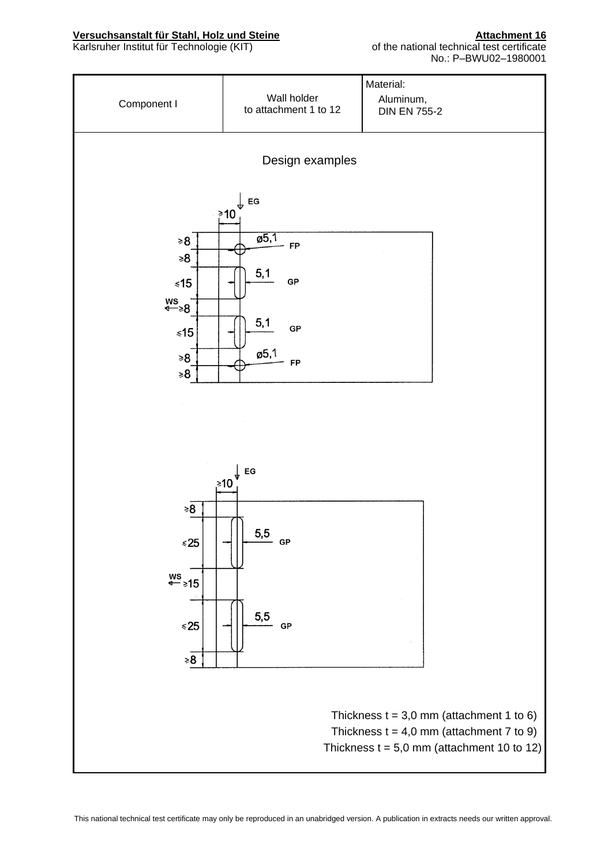#### **Versuchsanstalt für Stahl, Holz und Steine <b>Attachment 16** Attachment 16